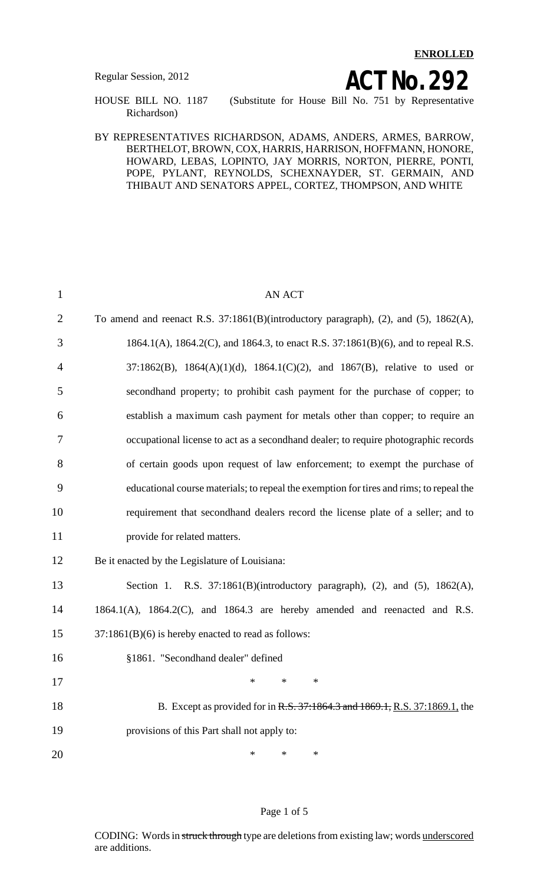**ENROLLED**

Regular Session, 2012<br> **ACT NO. 292**<br> **ACT NO. 292**<br> **ACT NO. 292**<br> **ACT NO. 292** (Substitute for House Bill No. 751 by Representative Richardson)

#### BY REPRESENTATIVES RICHARDSON, ADAMS, ANDERS, ARMES, BARROW, BERTHELOT, BROWN, COX, HARRIS, HARRISON, HOFFMANN, HONORE, HOWARD, LEBAS, LOPINTO, JAY MORRIS, NORTON, PIERRE, PONTI, POPE, PYLANT, REYNOLDS, SCHEXNAYDER, ST. GERMAIN, AND THIBAUT AND SENATORS APPEL, CORTEZ, THOMPSON, AND WHITE

| $\mathbf{1}$   | <b>AN ACT</b>                                                                           |
|----------------|-----------------------------------------------------------------------------------------|
| $\overline{2}$ | To amend and reenact R.S. 37:1861(B)(introductory paragraph), (2), and (5), 1862(A),    |
| 3              | 1864.1(A), 1864.2(C), and 1864.3, to enact R.S. 37:1861(B)(6), and to repeal R.S.       |
| $\overline{4}$ | 37:1862(B), 1864(A)(1)(d), 1864.1(C)(2), and 1867(B), relative to used or               |
| 5              | secondhand property; to prohibit cash payment for the purchase of copper; to            |
| 6              | establish a maximum cash payment for metals other than copper; to require an            |
| 7              | occupational license to act as a secondhand dealer; to require photographic records     |
| 8              | of certain goods upon request of law enforcement; to exempt the purchase of             |
| 9              | educational course materials; to repeal the exemption for tires and rims; to repeal the |
| 10             | requirement that secondhand dealers record the license plate of a seller; and to        |
| 11             | provide for related matters.                                                            |
| 12             | Be it enacted by the Legislature of Louisiana:                                          |
| 13             | Section 1. R.S. $37:1861(B)$ (introductory paragraph), (2), and (5), $1862(A)$ ,        |
| 14             | $1864.1(A)$ , $1864.2(C)$ , and $1864.3$ are hereby amended and reenacted and R.S.      |
| 15             | $37:1861(B)(6)$ is hereby enacted to read as follows:                                   |
| 16             | §1861. "Secondhand dealer" defined                                                      |
| 17             | — * ∴                                                                                   |
| 18             | B. Except as provided for in R.S. 37:1864.3 and 1869.1, R.S. 37:1869.1, the             |
| 19             | provisions of this Part shall not apply to:                                             |
| 20             | ∗<br>*<br>∗                                                                             |

### Page 1 of 5

CODING: Words in struck through type are deletions from existing law; words underscored are additions.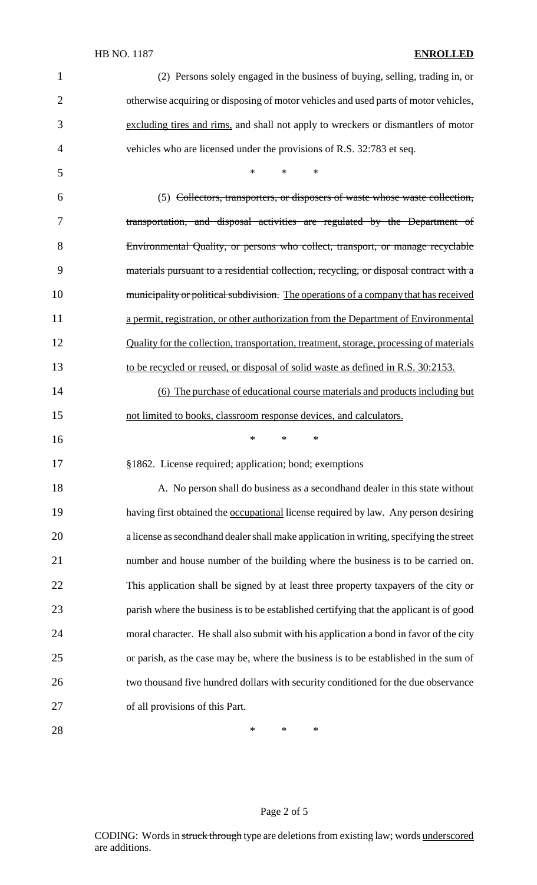## HB NO. 1187 **ENROLLED**

| $\mathbf{1}$   | (2) Persons solely engaged in the business of buying, selling, trading in, or              |
|----------------|--------------------------------------------------------------------------------------------|
| $\overline{2}$ | otherwise acquiring or disposing of motor vehicles and used parts of motor vehicles,       |
| 3              | excluding tires and rims, and shall not apply to wreckers or dismantlers of motor          |
| $\overline{4}$ | vehicles who are licensed under the provisions of R.S. 32:783 et seq.                      |
| 5              | $\ast$<br>*<br>∗                                                                           |
| 6              | (5) Collectors, transporters, or disposers of waste whose waste collection,                |
| 7              | transportation, and disposal activities are regulated by the Department of                 |
| 8              | Environmental Quality, or persons who collect, transport, or manage recyclable             |
| 9              | materials pursuant to a residential collection, recycling, or disposal contract with a     |
| 10             | municipality or political subdivision. The operations of a company that has received       |
| 11             | a permit, registration, or other authorization from the Department of Environmental        |
| 12             | Quality for the collection, transportation, treatment, storage, processing of materials    |
| 13             | to be recycled or reused, or disposal of solid waste as defined in R.S. 30:2153.           |
| 14             | (6) The purchase of educational course materials and products including but                |
| 15             | not limited to books, classroom response devices, and calculators.                         |
| 16             | *<br>$\ast$<br>$\ast$                                                                      |
| 17             | §1862. License required; application; bond; exemptions                                     |
| 18             | A. No person shall do business as a second hand dealer in this state without               |
| 19             | having first obtained the <b>occupational</b> license required by law. Any person desiring |
| 20             | a license as second hand dealer shall make application in writing, specifying the street   |
| 21             | number and house number of the building where the business is to be carried on.            |
| 22             | This application shall be signed by at least three property taxpayers of the city or       |
| 23             | parish where the business is to be established certifying that the applicant is of good    |
| 24             | moral character. He shall also submit with his application a bond in favor of the city     |
| 25             | or parish, as the case may be, where the business is to be established in the sum of       |
| 26             | two thousand five hundred dollars with security conditioned for the due observance         |
| 27             | of all provisions of this Part.                                                            |
| 28             | *<br>∗<br>∗                                                                                |

# Page 2 of 5

CODING: Words in struck through type are deletions from existing law; words underscored are additions.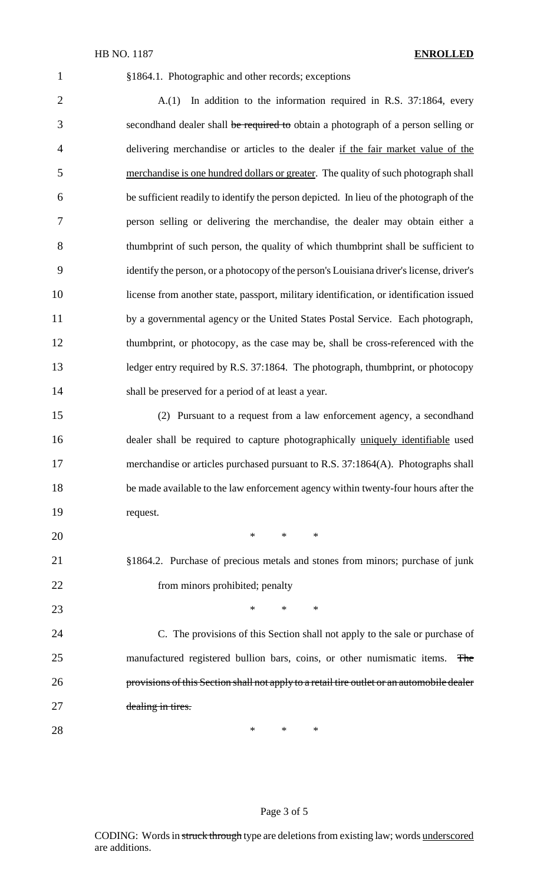#### HB NO. 1187 **ENROLLED**

#### §1864.1. Photographic and other records; exceptions

2 A.(1) In addition to the information required in R.S. 37:1864, every 3 secondhand dealer shall be required to obtain a photograph of a person selling or delivering merchandise or articles to the dealer if the fair market value of the merchandise is one hundred dollars or greater. The quality of such photograph shall be sufficient readily to identify the person depicted. In lieu of the photograph of the person selling or delivering the merchandise, the dealer may obtain either a thumbprint of such person, the quality of which thumbprint shall be sufficient to 9 identify the person, or a photocopy of the person's Louisiana driver's license, driver's license from another state, passport, military identification, or identification issued by a governmental agency or the United States Postal Service. Each photograph, thumbprint, or photocopy, as the case may be, shall be cross-referenced with the ledger entry required by R.S. 37:1864. The photograph, thumbprint, or photocopy shall be preserved for a period of at least a year.

 (2) Pursuant to a request from a law enforcement agency, a secondhand dealer shall be required to capture photographically uniquely identifiable used merchandise or articles purchased pursuant to R.S. 37:1864(A). Photographs shall be made available to the law enforcement agency within twenty-four hours after the request.

 \* \* \* §1864.2. Purchase of precious metals and stones from minors; purchase of junk 22 from minors prohibited; penalty 23 \* \* \* \*

 C. The provisions of this Section shall not apply to the sale or purchase of 25 manufactured registered bullion bars, coins, or other numismatic items. The provisions of this Section shall not apply to a retail tire outlet or an automobile dealer dealing in tires.

 $*$  \* \* \*

### Page 3 of 5

CODING: Words in struck through type are deletions from existing law; words underscored are additions.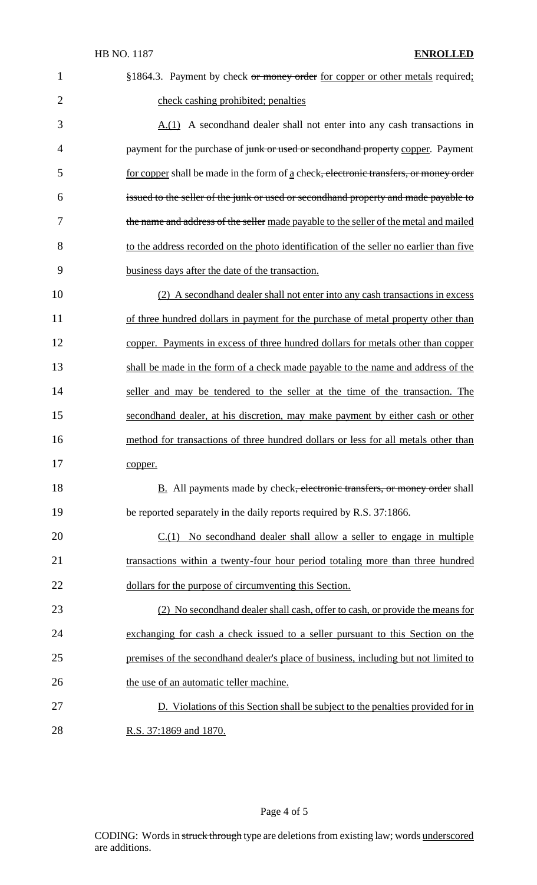| $\mathbf{1}$   | §1864.3. Payment by check or money order for copper or other metals required;                     |
|----------------|---------------------------------------------------------------------------------------------------|
| $\overline{2}$ | check cashing prohibited; penalties                                                               |
| 3              | $A(1)$ A second hand dealer shall not enter into any cash transactions in                         |
| $\overline{4}$ | payment for the purchase of junk or used or secondhand property copper. Payment                   |
| 5              | for copper shall be made in the form of a check <del>, electronic transfers, or money order</del> |
| 6              | issued to the seller of the junk or used or secondhand property and made payable to               |
| 7              | the name and address of the seller made payable to the seller of the metal and mailed             |
| 8              | to the address recorded on the photo identification of the seller no earlier than five            |
| 9              | business days after the date of the transaction.                                                  |
| 10             | (2) A second hand dealer shall not enter into any cash transactions in excess                     |
| 11             | of three hundred dollars in payment for the purchase of metal property other than                 |
| 12             | copper. Payments in excess of three hundred dollars for metals other than copper                  |
| 13             | shall be made in the form of a check made payable to the name and address of the                  |
| 14             | seller and may be tendered to the seller at the time of the transaction. The                      |
| 15             | secondhand dealer, at his discretion, may make payment by either cash or other                    |
| 16             | method for transactions of three hundred dollars or less for all metals other than                |
| 17             | copper.                                                                                           |
| 18             | <b>B.</b> All payments made by check <del>, electronic transfers, or money order</del> shall      |
| 19             | be reported separately in the daily reports required by R.S. 37:1866.                             |
| 20             | $C(1)$ No second hand dealer shall allow a seller to engage in multiple                           |
| 21             | transactions within a twenty-four hour period totaling more than three hundred                    |
| 22             | dollars for the purpose of circumventing this Section.                                            |
| 23             | (2) No second hand dealer shall cash, offer to cash, or provide the means for                     |
| 24             | exchanging for cash a check issued to a seller pursuant to this Section on the                    |
| 25             | premises of the secondhand dealer's place of business, including but not limited to               |
| 26             | the use of an automatic teller machine.                                                           |
| 27             | D. Violations of this Section shall be subject to the penalties provided for in                   |
| 28             | R.S. 37:1869 and 1870.                                                                            |